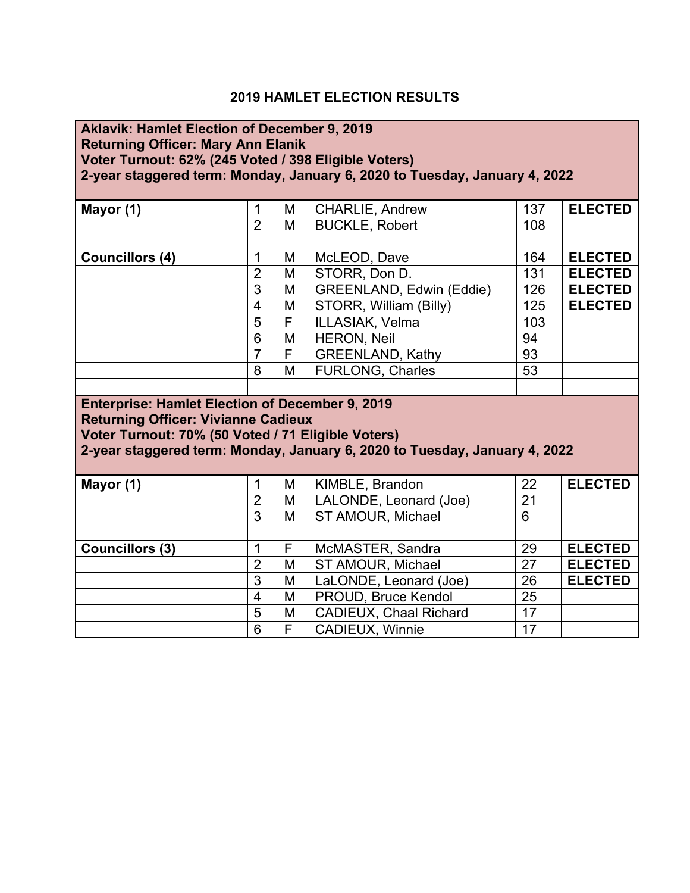## **2019 HAMLET ELECTION RESULTS**

| <b>Aklavik: Hamlet Election of December 9, 2019</b><br><b>Returning Officer: Mary Ann Elanik</b><br>Voter Turnout: 62% (245 Voted / 398 Eligible Voters)<br>2-year staggered term: Monday, January 6, 2020 to Tuesday, January 4, 2022 |                                                                                                                                                                                                                                          |   |                               |     |                |  |  |
|----------------------------------------------------------------------------------------------------------------------------------------------------------------------------------------------------------------------------------------|------------------------------------------------------------------------------------------------------------------------------------------------------------------------------------------------------------------------------------------|---|-------------------------------|-----|----------------|--|--|
| Mayor (1)                                                                                                                                                                                                                              | $\mathbf 1$                                                                                                                                                                                                                              | M | <b>CHARLIE, Andrew</b>        | 137 | <b>ELECTED</b> |  |  |
|                                                                                                                                                                                                                                        | $\overline{2}$                                                                                                                                                                                                                           | M | <b>BUCKLE, Robert</b>         | 108 |                |  |  |
|                                                                                                                                                                                                                                        |                                                                                                                                                                                                                                          |   |                               |     |                |  |  |
| <b>Councillors (4)</b>                                                                                                                                                                                                                 | 1                                                                                                                                                                                                                                        | M | McLEOD, Dave                  | 164 | <b>ELECTED</b> |  |  |
|                                                                                                                                                                                                                                        | $\overline{2}$                                                                                                                                                                                                                           | M | STORR, Don D.                 | 131 | <b>ELECTED</b> |  |  |
|                                                                                                                                                                                                                                        | 3                                                                                                                                                                                                                                        | M | GREENLAND, Edwin (Eddie)      | 126 | <b>ELECTED</b> |  |  |
|                                                                                                                                                                                                                                        | $\overline{4}$                                                                                                                                                                                                                           | M | STORR, William (Billy)        | 125 | <b>ELECTED</b> |  |  |
|                                                                                                                                                                                                                                        | 5                                                                                                                                                                                                                                        | F | ILLASIAK, Velma               | 103 |                |  |  |
|                                                                                                                                                                                                                                        | 6                                                                                                                                                                                                                                        | M | <b>HERON, Neil</b>            | 94  |                |  |  |
|                                                                                                                                                                                                                                        | $\overline{7}$                                                                                                                                                                                                                           | F | <b>GREENLAND, Kathy</b>       | 93  |                |  |  |
|                                                                                                                                                                                                                                        | 8                                                                                                                                                                                                                                        | M | <b>FURLONG, Charles</b>       | 53  |                |  |  |
|                                                                                                                                                                                                                                        |                                                                                                                                                                                                                                          |   |                               |     |                |  |  |
|                                                                                                                                                                                                                                        | <b>Enterprise: Hamlet Election of December 9, 2019</b><br><b>Returning Officer: Vivianne Cadieux</b><br>Voter Turnout: 70% (50 Voted / 71 Eligible Voters)<br>2-year staggered term: Monday, January 6, 2020 to Tuesday, January 4, 2022 |   |                               |     |                |  |  |
| Mayor (1)                                                                                                                                                                                                                              | $\mathbf 1$                                                                                                                                                                                                                              | M | KIMBLE, Brandon               | 22  | <b>ELECTED</b> |  |  |
|                                                                                                                                                                                                                                        | $\overline{2}$                                                                                                                                                                                                                           | M | LALONDE, Leonard (Joe)        | 21  |                |  |  |
|                                                                                                                                                                                                                                        | $\overline{3}$                                                                                                                                                                                                                           | M | ST AMOUR, Michael             | 6   |                |  |  |
|                                                                                                                                                                                                                                        |                                                                                                                                                                                                                                          |   |                               |     |                |  |  |
| <b>Councillors (3)</b>                                                                                                                                                                                                                 | 1                                                                                                                                                                                                                                        | F | McMASTER, Sandra              | 29  | <b>ELECTED</b> |  |  |
|                                                                                                                                                                                                                                        | $\overline{2}$                                                                                                                                                                                                                           | M | ST AMOUR, Michael             | 27  | <b>ELECTED</b> |  |  |
|                                                                                                                                                                                                                                        | $\overline{3}$                                                                                                                                                                                                                           | M | LaLONDE, Leonard (Joe)        | 26  | <b>ELECTED</b> |  |  |
|                                                                                                                                                                                                                                        | $\overline{4}$                                                                                                                                                                                                                           | M | PROUD, Bruce Kendol           | 25  |                |  |  |
|                                                                                                                                                                                                                                        | 5                                                                                                                                                                                                                                        | M | <b>CADIEUX, Chaal Richard</b> | 17  |                |  |  |
|                                                                                                                                                                                                                                        | 6                                                                                                                                                                                                                                        | F | CADIEUX, Winnie               | 17  |                |  |  |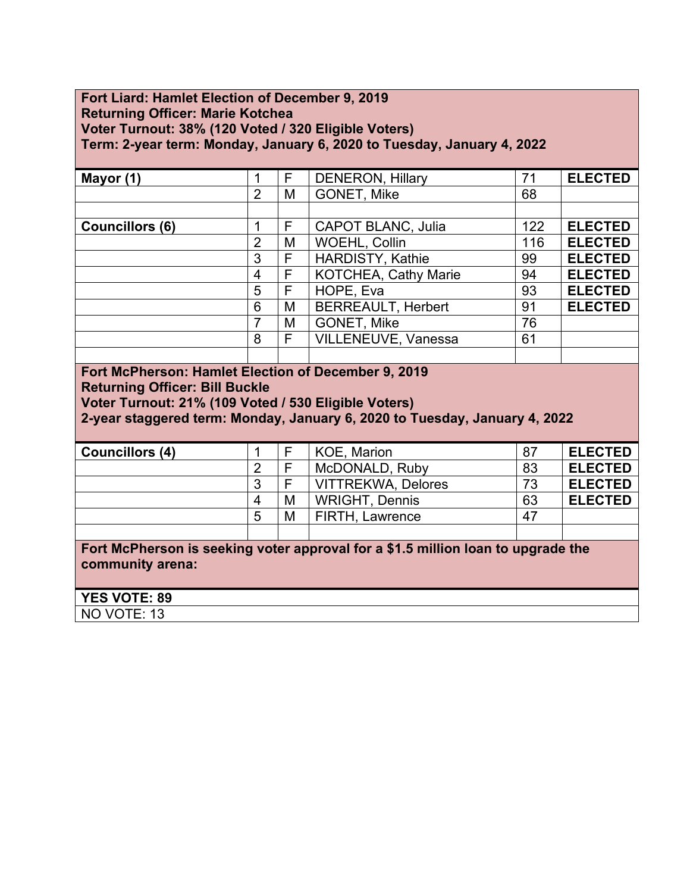### **Fort Liard: Hamlet Election of December 9, 2019 Returning Officer: Marie Kotchea Voter Turnout: 38% (120 Voted / 320 Eligible Voters) Term: 2-year term: Monday, January 6, 2020 to Tuesday, January 4, 2022**

| Mayor (1)                                                                                                                                                                                                                          | 1              | F | <b>DENERON, Hillary</b>     | 71  | <b>ELECTED</b> |  |
|------------------------------------------------------------------------------------------------------------------------------------------------------------------------------------------------------------------------------------|----------------|---|-----------------------------|-----|----------------|--|
|                                                                                                                                                                                                                                    | $\overline{2}$ | M | <b>GONET, Mike</b>          | 68  |                |  |
|                                                                                                                                                                                                                                    |                |   |                             |     |                |  |
| <b>Councillors (6)</b>                                                                                                                                                                                                             | 1              | F | <b>CAPOT BLANC, Julia</b>   | 122 | <b>ELECTED</b> |  |
|                                                                                                                                                                                                                                    | $\overline{2}$ | M | <b>WOEHL, Collin</b>        | 116 | <b>ELECTED</b> |  |
|                                                                                                                                                                                                                                    | 3              | F | <b>HARDISTY, Kathie</b>     | 99  | <b>ELECTED</b> |  |
|                                                                                                                                                                                                                                    | 4              | F | <b>KOTCHEA, Cathy Marie</b> | 94  | <b>ELECTED</b> |  |
|                                                                                                                                                                                                                                    | 5              | F | HOPE, Eva                   | 93  | <b>ELECTED</b> |  |
|                                                                                                                                                                                                                                    | 6              | M | <b>BERREAULT, Herbert</b>   | 91  | <b>ELECTED</b> |  |
|                                                                                                                                                                                                                                    | 7              | M | GONET, Mike                 | 76  |                |  |
|                                                                                                                                                                                                                                    | 8              | F | VILLENEUVE, Vanessa         | 61  |                |  |
|                                                                                                                                                                                                                                    |                |   |                             |     |                |  |
| Fort McPherson: Hamlet Election of December 9, 2019<br><b>Returning Officer: Bill Buckle</b><br>Voter Turnout: 21% (109 Voted / 530 Eligible Voters)<br>2-year staggered term: Monday, January 6, 2020 to Tuesday, January 4, 2022 |                |   |                             |     |                |  |
| <b>Councillors (4)</b>                                                                                                                                                                                                             | 1              | F | <b>KOE, Marion</b>          | 87  | <b>ELECTED</b> |  |
|                                                                                                                                                                                                                                    | $\overline{2}$ | F | McDONALD, Ruby              | 83  | <b>ELECTED</b> |  |

|                  |   |   | <b>NICLOUNALD, RUDV</b>                                                          | . ro | ELECIED        |
|------------------|---|---|----------------------------------------------------------------------------------|------|----------------|
|                  | 3 |   | <b>VITTREKWA, Delores</b>                                                        | 73   | <b>ELECTED</b> |
|                  | 4 | M | <b>WRIGHT, Dennis</b>                                                            | 63   | <b>ELECTED</b> |
|                  | 5 | M | <b>FIRTH, Lawrence</b>                                                           | 47   |                |
|                  |   |   |                                                                                  |      |                |
|                  |   |   | Fort McPherson is seeking voter approval for a \$1.5 million loan to upgrade the |      |                |
| community arena: |   |   |                                                                                  |      |                |
|                  |   |   |                                                                                  |      |                |

| <b>YES VOTE: 89</b>                               |  |
|---------------------------------------------------|--|
| VO <sup>'</sup><br>TE.<br><b>NC</b><br>ា 2<br>ט ו |  |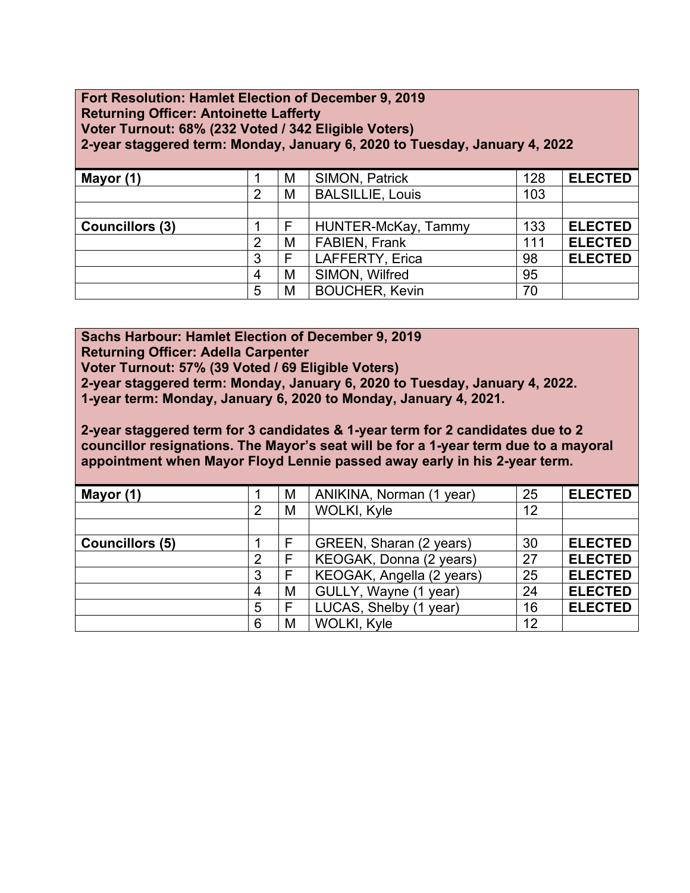#### **Fort Resolution: Hamlet Election of December 9, 2019 Returning Officer: Antoinette Lafferty Voter Turnout: 68% (232 Voted / 342 Eligible Voters) 2-year staggered term: Monday, January 6, 2020 to Tuesday, January 4, 2022**

| Mayor (1)              |                | M | <b>SIMON, Patrick</b>   | 128 | <b>ELECTED</b> |
|------------------------|----------------|---|-------------------------|-----|----------------|
|                        | $\overline{2}$ | M | <b>BALSILLIE, Louis</b> | 103 |                |
|                        |                |   |                         |     |                |
| <b>Councillors (3)</b> |                |   | HUNTER-McKay, Tammy     | 133 | <b>ELECTED</b> |
|                        | $\overline{2}$ | M | <b>FABIEN, Frank</b>    | 111 | <b>ELECTED</b> |
|                        | 3              |   | LAFFERTY, Erica         | 98  | <b>ELECTED</b> |
|                        | 4              | M | SIMON, Wilfred          | 95  |                |
|                        | 5              | M | <b>BOUCHER, Kevin</b>   | 70  |                |

**Sachs Harbour: Hamlet Election of December 9, 2019 Returning Officer: Adella Carpenter Voter Turnout: 57% (39 Voted / 69 Eligible Voters) 2-year staggered term: Monday, January 6, 2020 to Tuesday, January 4, 2022. 1-year term: Monday, January 6, 2020 to Monday, January 4, 2021.** 

**2-year staggered term for 3 candidates & 1-year term for 2 candidates due to 2 councillor resignations. The Mayor's seat will be for a 1-year term due to a mayoral appointment when Mayor Floyd Lennie passed away early in his 2-year term.**

| Mayor (1)              |                | M | ANIKINA, Norman (1 year)  | 25 | <b>ELECTED</b> |
|------------------------|----------------|---|---------------------------|----|----------------|
|                        | $\overline{2}$ | M | WOLKI, Kyle               | 12 |                |
|                        |                |   |                           |    |                |
| <b>Councillors (5)</b> |                |   | GREEN, Sharan (2 years)   | 30 | <b>ELECTED</b> |
|                        | $\overline{2}$ |   | KEOGAK, Donna (2 years)   | 27 | <b>ELECTED</b> |
|                        | 3              |   | KEOGAK, Angella (2 years) | 25 | <b>ELECTED</b> |
|                        | $\overline{4}$ | M | GULLY, Wayne (1 year)     | 24 | <b>ELECTED</b> |
|                        | 5              | F | LUCAS, Shelby (1 year)    | 16 | <b>ELECTED</b> |
|                        | 6              | M | WOLKI, Kyle               | 12 |                |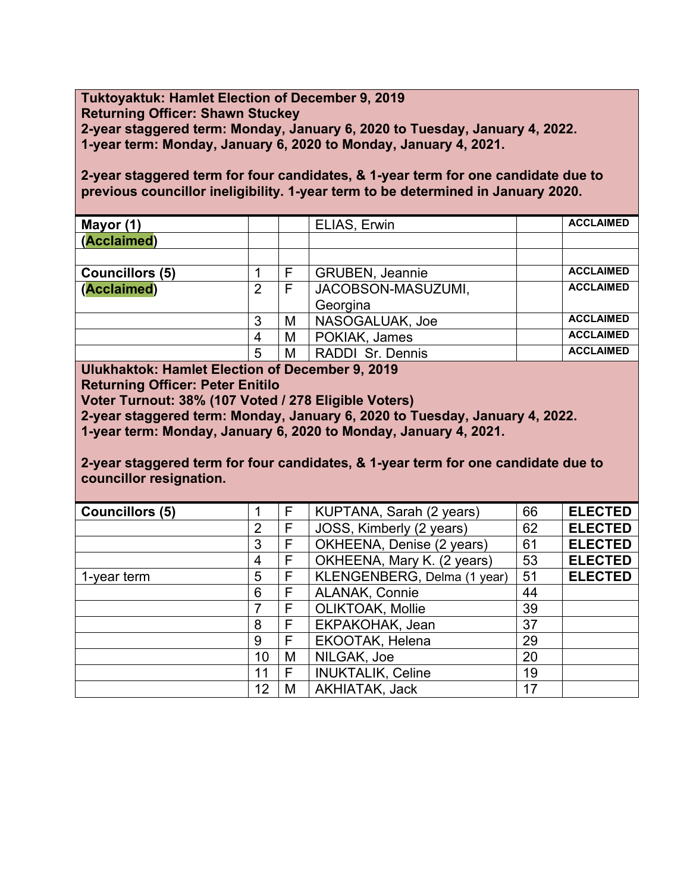**Tuktoyaktuk: Hamlet Election of December 9, 2019 Returning Officer: Shawn Stuckey 2-year staggered term: Monday, January 6, 2020 to Tuesday, January 4, 2022. 1-year term: Monday, January 6, 2020 to Monday, January 4, 2021.** 

**2-year staggered term for four candidates, & 1-year term for one candidate due to previous councillor ineligibility. 1-year term to be determined in January 2020.**

| Mayor (1)              |   |   | ELIAS, Erwin            | <b>ACCLAIMED</b> |
|------------------------|---|---|-------------------------|------------------|
| (Acclaimed)            |   |   |                         |                  |
|                        |   |   |                         |                  |
| <b>Councillors (5)</b> |   |   | <b>GRUBEN, Jeannie</b>  | <b>ACCLAIMED</b> |
| (Acclaimed)            | 2 | F | JACOBSON-MASUZUMI,      | <b>ACCLAIMED</b> |
|                        |   |   | Georgina                |                  |
|                        | 3 | M | NASOGALUAK, Joe         | <b>ACCLAIMED</b> |
|                        | 4 | M | POKIAK, James           | <b>ACCLAIMED</b> |
|                        | 5 | M | <b>RADDI Sr. Dennis</b> | <b>ACCLAIMED</b> |

**Ulukhaktok: Hamlet Election of December 9, 2019**

**Returning Officer: Peter Enitilo**

**Voter Turnout: 38% (107 Voted / 278 Eligible Voters)**

**2-year staggered term: Monday, January 6, 2020 to Tuesday, January 4, 2022.**

**1-year term: Monday, January 6, 2020 to Monday, January 4, 2021.** 

**2-year staggered term for four candidates, & 1-year term for one candidate due to councillor resignation.**

| <b>Councillors (5)</b> |    | F | KUPTANA, Sarah (2 years)    | 66 | <b>ELECTED</b> |
|------------------------|----|---|-----------------------------|----|----------------|
|                        | 2  | F | JOSS, Kimberly (2 years)    | 62 | <b>ELECTED</b> |
|                        | 3  | F | OKHEENA, Denise (2 years)   | 61 | <b>ELECTED</b> |
|                        | 4  | F | OKHEENA, Mary K. (2 years)  | 53 | <b>ELECTED</b> |
| 1-year term            | 5  | F | KLENGENBERG, Delma (1 year) | 51 | <b>ELECTED</b> |
|                        | 6  | F | <b>ALANAK, Connie</b>       | 44 |                |
|                        | 7  | F | OLIKTOAK, Mollie            | 39 |                |
|                        | 8  | F | EKPAKOHAK, Jean             | 37 |                |
|                        | 9  | F | EKOOTAK, Helena             | 29 |                |
|                        | 10 | M | NILGAK, Joe                 | 20 |                |
|                        | 11 | F | <b>INUKTALIK, Celine</b>    | 19 |                |
|                        | 12 | M | AKHIATAK, Jack              | 17 |                |